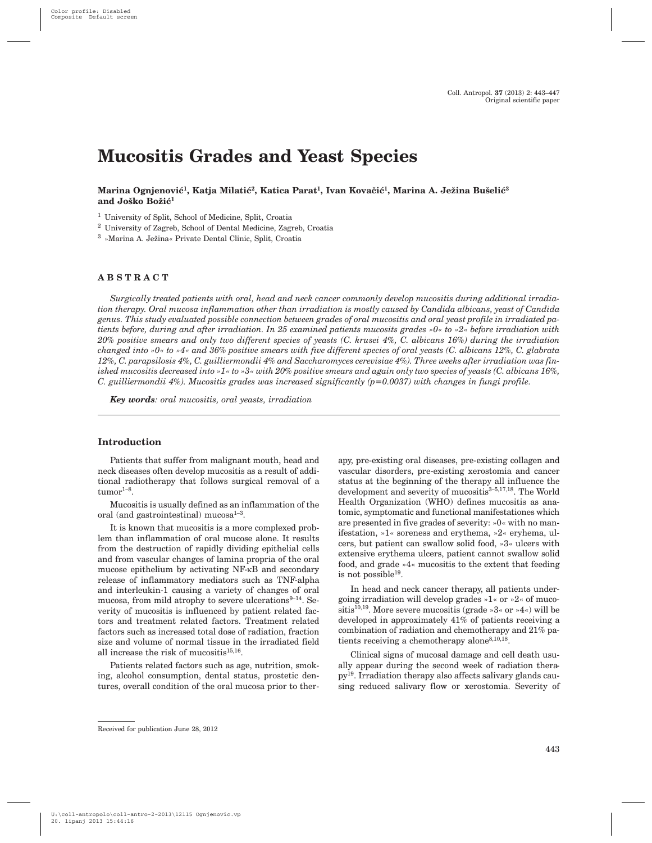# **Mucositis Grades and Yeast Species**

# Marina Ognjenović<sup>1</sup>, Katja Milatić<sup>2</sup>, Katica Parat<sup>1</sup>, Ivan Kovačić<sup>1</sup>, Marina A. Ježina Bušelić<sup>3</sup> and Joško Božić<sup>1</sup>

<sup>1</sup> University of Split, School of Medicine, Split, Croatia

<sup>2</sup> University of Zagreb, School of Dental Medicine, Zagreb, Croatia

<sup>3</sup> »Marina A. Ježina« Private Dental Clinic, Split, Croatia

#### **ABSTRACT**

*Surgically treated patients with oral, head and neck cancer commonly develop mucositis during additional irradiation therapy. Oral mucosa inflammation other than irradiation is mostly caused by Candida albicans, yeast of Candida genus. This study evaluated possible connection between grades of oral mucositis and oral yeast profile in irradiated patients before, during and after irradiation. In 25 examined patients mucosits grades »0« to »2« before irradiation with 20% positive smears and only two different species of yeasts (C. krusei 4%, C. albicans 16%) during the irradiation changed into »0« to »4« and 36% positive smears with five different species of oral yeasts (C. albicans 12%, C. glabrata 12%, C. parapsilosis 4%, C. guilliermondii 4% and Saccharomyces cerevisiae 4%). Three weeks after irradiation was finished mucositis decreased into »1« to »3« with 20% positive smears and again only two species of yeasts (C. albicans 16%, C. guilliermondii 4%). Mucositis grades was increased significantly (p=0.0037) with changes in fungi profile.*

*Key words: oral mucositis, oral yeasts, irradiation*

# **Introduction**

Patients that suffer from malignant mouth, head and neck diseases often develop mucositis as a result of additional radiotherapy that follows surgical removal of a  $t$ umor $1-8$ .

Mucositis is usually defined as an inflammation of the oral (and gastrointestinal) mucosa $1-3$ .

It is known that mucositis is a more complexed problem than inflammation of oral mucose alone. It results from the destruction of rapidly dividing epithelial cells and from vascular changes of lamina propria of the oral mucose epithelium by activating NF-kB and secondary release of inflammatory mediators such as TNF-alpha and interleukin-1 causing a variety of changes of oral mucosa, from mild atrophy to severe ulcerations $9-14$ . Severity of mucositis is influenced by patient related factors and treatment related factors. Treatment related factors such as increased total dose of radiation, fraction size and volume of normal tissue in the irradiated field all increase the risk of mucositis $15,16$ .

Patients related factors such as age, nutrition, smoking, alcohol consumption, dental status, prostetic dentures, overall condition of the oral mucosa prior to therapy, pre-existing oral diseases, pre-existing collagen and vascular disorders, pre-existing xerostomia and cancer status at the beginning of the therapy all influence the development and severity of mucositis<sup>3-5,17,18</sup>. The World Health Organization (WHO) defines mucositis as anatomic, symptomatic and functional manifestationes which are presented in five grades of severity: »0« with no manifestation, »1« soreness and erythema, »2« eryhema, ulcers, but patient can swallow solid food, »3« ulcers with extensive erythema ulcers, patient cannot swallow solid food, and grade »4« mucositis to the extent that feeding is not possible $19$ .

In head and neck cancer therapy, all patients undergoing irradiation will develop grades »1« or »2« of mucositis<sup>10,19</sup>. More severe mucositis (grade »3« or »4«) will be developed in approximately 41% of patients receiving a combination of radiation and chemotherapy and 21% patients receiving a chemotherapy alone  $8,10,18$ .

Clinical signs of mucosal damage and cell death usually appear during the second week of radiation therapy19. Irradiation therapy also affects salivary glands causing reduced salivary flow or xerostomia. Severity of

Received for publication June 28, 2012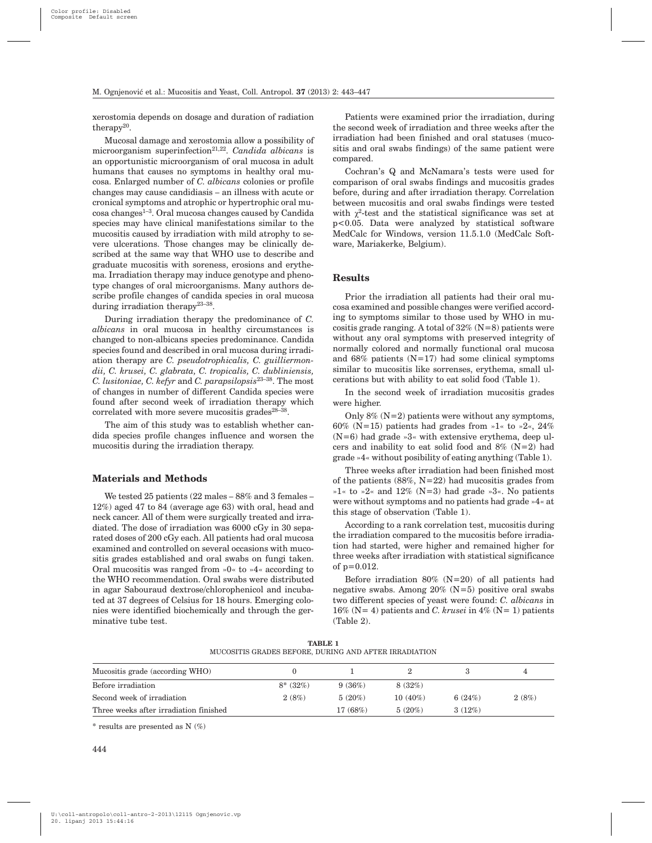xerostomia depends on dosage and duration of radiation therapy $20$ .

Mucosal damage and xerostomia allow a possibility of microorganism superinfection<sup>21,22</sup>. *Candida albicans* is an opportunistic microorganism of oral mucosa in adult humans that causes no symptoms in healthy oral mucosa. Enlarged number of *C. albicans* colonies or profile changes may cause candidiasis – an illness with acute or cronical symptoms and atrophic or hypertrophic oral mu- $\cos$ a changes<sup>1–3</sup>. Oral mucosa changes caused by Candida species may have clinical manifestations similar to the mucositis caused by irradiation with mild atrophy to severe ulcerations. Those changes may be clinically described at the same way that WHO use to describe and graduate mucositis with soreness, erosions and erythema. Irradiation therapy may induce genotype and phenotype changes of oral microorganisms. Many authors describe profile changes of candida species in oral mucosa during irradiation therapy<sup>23-38</sup>.

During irradiation therapy the predominance of *C. albicans* in oral mucosa in healthy circumstances is changed to non-albicans species predominance. Candida species found and described in oral mucosa during irradiation therapy are *C. pseudotrophicalis, C. guilliermondii, C. krusei, C. glabrata, C. tropicalis, C. dubliniensis, C. lusitoniae, C. kefyr* and *C. parapsilopsis*23–38. The most of changes in number of different Candida species were found after second week of irradiation therapy which correlated with more severe mucositis grades $28-38$ .

The aim of this study was to establish whether candida species profile changes influence and worsen the mucositis during the irradiation therapy.

#### **Materials and Methods**

We tested 25 patients (22 males – 88% and 3 females – 12%) aged 47 to 84 (average age 63) with oral, head and neck cancer. All of them were surgically treated and irradiated. The dose of irradiation was 6000 cGy in 30 separated doses of 200 cGy each. All patients had oral mucosa examined and controlled on several occasions with mucositis grades established and oral swabs on fungi taken. Oral mucositis was ranged from »0« to »4« according to the WHO recommendation. Oral swabs were distributed in agar Sabouraud dextrose/chlorophenicol and incubated at 37 degrees of Celsius for 18 hours. Emerging colonies were identified biochemically and through the germinative tube test.

Patients were examined prior the irradiation, during the second week of irradiation and three weeks after the irradiation had been finished and oral statuses (mucositis and oral swabs findings) of the same patient were compared.

Cochran's Q and McNamara's tests were used for comparison of oral swabs findings and mucositis grades before, during and after irradiation therapy. Correlation between mucositis and oral swabs findings were tested with  $\gamma^2$ -test and the statistical significance was set at p<0.05. Data were analyzed by statistical software MedCalc for Windows, version 11.5.1.0 (MedCalc Software, Mariakerke, Belgium).

## **Results**

Prior the irradiation all patients had their oral mucosa examined and possible changes were verified according to symptoms similar to those used by WHO in mucositis grade ranging. A total of 32% (N=8) patients were without any oral symptoms with preserved integrity of normally colored and normally functional oral mucosa and  $68\%$  patients  $(N=17)$  had some clinical symptoms similar to mucositis like sorrenses, erythema, small ulcerations but with ability to eat solid food (Table 1).

In the second week of irradiation mucositis grades were higher.

Only  $8\%$  (N=2) patients were without any symptoms, 60% (N=15) patients had grades from »1« to »2«, 24%  $(N=6)$  had grade »3« with extensive erythema, deep ulcers and inability to eat solid food and  $8\%$  (N=2) had grade »4« without posibility of eating anything (Table 1).

Three weeks after irradiation had been finished most of the patients  $(88\%, N=22)$  had mucositis grades from »1« to »2« and 12% (N=3) had grade »3«. No patients were without symptoms and no patients had grade »4« at this stage of observation (Table 1).

According to a rank correlation test, mucositis during the irradiation compared to the mucositis before irradiation had started, were higher and remained higher for three weeks after irradiation with statistical significance of  $p=0.012$ .

Before irradiation  $80\%$  (N=20) of all patients had negative swabs. Among 20% (N=5) positive oral swabs two different species of yeast were found: *C. albicans* in 16% ( $N=4$ ) patients and *C. krusei* in 4% ( $N=1$ ) patients (Table 2).

| TABLE 1                                               |  |  |  |  |  |  |
|-------------------------------------------------------|--|--|--|--|--|--|
| MUCOSITIS GRADES BEFORE. DURING AND AFTER IRRADIATION |  |  |  |  |  |  |

| Mucositis grade (according WHO)        |              |           |            |           |       |
|----------------------------------------|--------------|-----------|------------|-----------|-------|
| Before irradiation                     | $8^*$ (32\%) | 9(36%)    | 8(32%)     |           |       |
| Second week of irradiation             | 2(8%)        | $5(20\%)$ | $10(40\%)$ | 6 $(24%)$ | 2(8%) |
| Three weeks after irradiation finished |              | 17(68%)   | $5(20\%)$  | 3(12%)    |       |

 $*$  results are presented as N  $(\%)$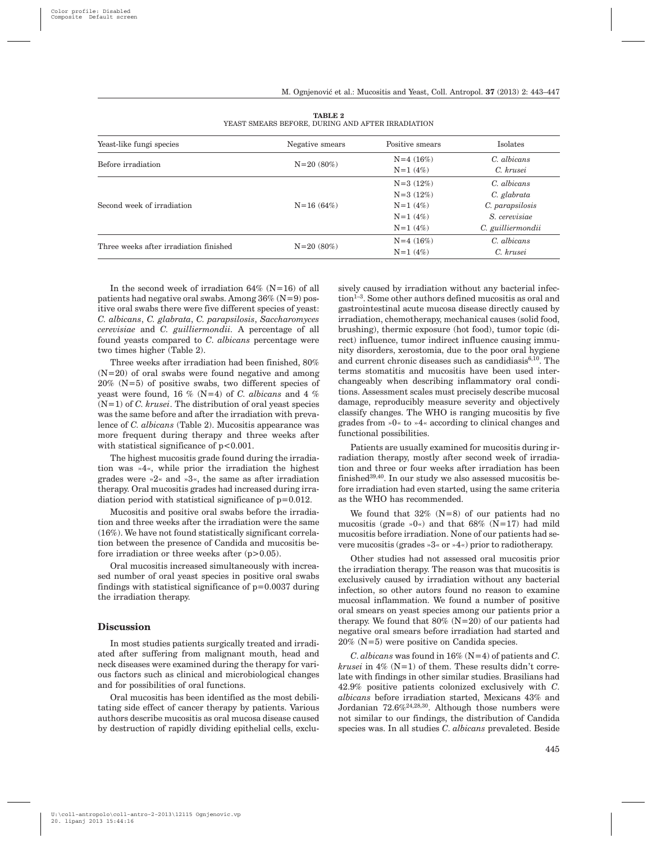| Yeast-like fungi species               | Negative smears | Positive smears | Isolates          |  |
|----------------------------------------|-----------------|-----------------|-------------------|--|
| Before irradiation                     |                 | $N=4(16%)$      | C. albicans       |  |
|                                        | $N=20(80\%)$    | $N=1$ (4%)      | C. krusei         |  |
| Second week of irradiation             |                 | $N=3(12%)$      | C. albicans       |  |
|                                        |                 | $N=3(12%)$      | C. glabrata       |  |
|                                        | $N=16(64%)$     | $N=1$ (4\%)     | C. parapsilosis   |  |
|                                        |                 | $N=1$ (4\%)     | S. cerevisiae     |  |
|                                        |                 | $N=1$ (4%)      | C. guilliermondii |  |
| Three weeks after irradiation finished |                 | $N=4(16%)$      | C. albicans       |  |
|                                        | $N=20(80\%)$    | $N=1$ (4%)      | C. krusei         |  |

**TABLE 2** YEAST SMEARS BEFORE, DURING AND AFTER IRRADIATION

In the second week of irradiation  $64\%$  (N=16) of all patients had negative oral swabs. Among  $36\%$  (N=9) positive oral swabs there were five different species of yeast: *C. albicans*, *C. glabrata*, *C. parapsilosis*, *Saccharomyces cerevisiae* and *C. guilliermondii.* A percentage of all found yeasts compared to *C*. *albicans* percentage were two times higher (Table 2).

Three weeks after irradiation had been finished, 80%  $(N=20)$  of oral swabs were found negative and among  $20\%$  (N=5) of positive swabs, two different species of yeast were found, 16 % (N=4) of *C. albicans* and 4 % (N=1) of *C. krusei*. The distribution of oral yeast species was the same before and after the irradiation with prevalence of *C. albicans* (Table 2). Mucositis appearance was more frequent during therapy and three weeks after with statistical significance of  $p < 0.001$ .

The highest mucositis grade found during the irradiation was »4«, while prior the irradiation the highest grades were »2« and »3«, the same as after irradiation therapy. Oral mucositis grades had increased during irradiation period with statistical significance of p=0.012.

Mucositis and positive oral swabs before the irradiation and three weeks after the irradiation were the same (16%). We have not found statistically significant correlation between the presence of Candida and mucositis before irradiation or three weeks after  $(p>0.05)$ .

Oral mucositis increased simultaneously with increased number of oral yeast species in positive oral swabs findings with statistical significance of  $p=0.0037$  during the irradiation therapy.

#### **Discussion**

In most studies patients surgically treated and irradiated after suffering from malignant mouth, head and neck diseases were examined during the therapy for various factors such as clinical and microbiological changes and for possibilities of oral functions.

Oral mucositis has been identified as the most debilitating side effect of cancer therapy by patients. Various authors describe mucositis as oral mucosa disease caused by destruction of rapidly dividing epithelial cells, exclusively caused by irradiation without any bacterial infection1–3. Some other authors defined mucositis as oral and gastrointestinal acute mucosa disease directly caused by irradiation, chemotherapy, mechanical causes (solid food, brushing), thermic exposure (hot food), tumor topic (direct) influence, tumor indirect influence causing immunity disorders, xerostomia, due to the poor oral hygiene and current chronic diseases such as candidiasis<sup>6,10</sup>. The terms stomatitis and mucositis have been used interchangeably when describing inflammatory oral conditions. Assessment scales must precisely describe mucosal damage, reproducibly measure severity and objectively classify changes. The WHO is ranging mucositis by five grades from »0« to »4« according to clinical changes and functional possibilities.

Patients are usually examined for mucositis during irradiation therapy, mostly after second week of irradiation and three or four weeks after irradiation has been finished<sup>39,40</sup>. In our study we also assessed mucositis before irradiation had even started, using the same criteria as the WHO has recommended.

We found that  $32\%$  (N=8) of our patients had no mucositis (grade »0«) and that  $68\%$  (N=17) had mild mucositis before irradiation. None of our patients had severe mucositis (grades »3« or »4«) prior to radiotherapy.

Other studies had not assessed oral mucositis prior the irradiation therapy. The reason was that mucositis is exclusively caused by irradiation without any bacterial infection, so other autors found no reason to examine mucosal inflammation. We found a number of positive oral smears on yeast species among our patients prior a therapy. We found that  $80\%$  (N=20) of our patients had negative oral smears before irradiation had started and 20% (N=5) were positive on Candida species.

*C*. *albicans* was found in 16% (N=4) of patients and *C*. *krusei* in  $4\%$  (N=1) of them. These results didn't correlate with findings in other similar studies. Brasilians had 42.9% positive patients colonized exclusively with *C*. *albicans* before irradiation started, Mexicans 43% and Jordanian 72.6%24,28,30. Although those numbers were not similar to our findings, the distribution of Candida species was. In all studies *C*. *albicans* prevaleted. Beside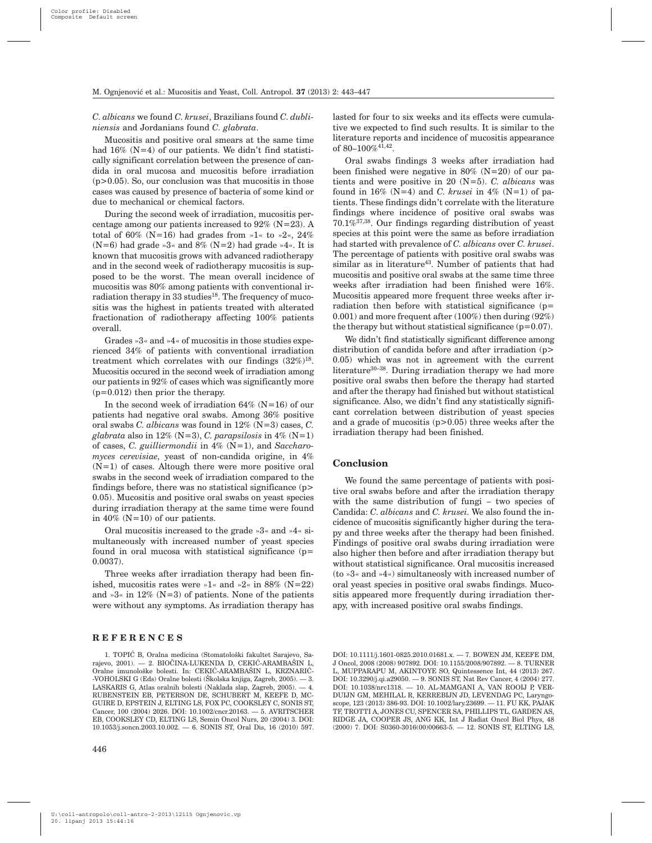*C*. *albicans* we found *C*. *krusei*, Brazilians found *C*. *dubliniensis* and Jordanians found *C*. *glabrata*.

Mucositis and positive oral smears at the same time had  $16\%$  (N=4) of our patients. We didn't find statistically significant correlation between the presence of candida in oral mucosa and mucositis before irradiation  $(p>0.05)$ . So, our conclusion was that mucositis in those cases was caused by presence of bacteria of some kind or due to mechanical or chemical factors.

During the second week of irradiation, mucositis percentage among our patients increased to  $92\%$  (N=23). A total of 60% (N=16) had grades from »1« to »2«, 24%  $(N=6)$  had grade »3« and 8%  $(N=2)$  had grade »4«. It is known that mucositis grows with advanced radiotherapy and in the second week of radiotherapy mucositis is supposed to be the worst. The mean overall incidence of mucositis was 80% among patients with conventional irradiation therapy in  $33$  studies<sup>18</sup>. The frequency of mucositis was the highest in patients treated with alterated fractionation of radiotherapy affecting 100% patients overall.

Grades »3« and »4« of mucositis in those studies experienced 34% of patients with conventional irradiation treatment which correlates with our findings  $(32\%)^{18}$ . Mucositis occured in the second week of irradiation among our patients in 92% of cases which was significantly more (p=0.012) then prior the therapy.

In the second week of irradiation  $64\%$  (N=16) of our patients had negative oral swabs. Among 36% positive oral swabs *C. albicans* was found in 12% (N=3) cases, *C.*  $glabrata$  also in 12% (N=3), *C. parapsilosis* in 4% (N=1) of cases, *C. guilliermondii* in 4% (N=1), and *Saccharomyces cerevisiae,* yeast of non-candida origine, in 4%  $(N=1)$  of cases. Altough there were more positive oral swabs in the second week of irradiation compared to the findings before, there was no statistical significance (p> 0.05). Mucositis and positive oral swabs on yeast species during irradiation therapy at the same time were found in 40% ( $N=10$ ) of our patients.

Oral mucositis increased to the grade »3« and »4« simultaneously with increased number of yeast species found in oral mucosa with statistical significance (p= 0.0037).

Three weeks after irradiation therapy had been finished, mucositis rates were  $\ast$ 1« and  $\ast$ 2« in 88% (N=22) and »3« in  $12\%$  (N=3) of patients. None of the patients were without any symptoms. As irradiation therapy has

#### **REFERENCES**

lasted for four to six weeks and its effects were cumulative we expected to find such results. It is similar to the literature reports and incidence of mucositis appearance of 80–100%41,42.

Oral swabs findings 3 weeks after irradiation had been finished were negative in  $80\%$  (N=20) of our patients and were positive in 20 (N=5). *C. albicans* was found in 16% (N=4) and *C*. *krusei* in 4% (N=1) of patients. These findings didn't correlate with the literature findings where incidence of positive oral swabs was  $70.1\%$ <sup>37,38</sup>. Our findings regarding distribution of yeast species at this point were the same as before irradiation had started with prevalence of *C. albicans* over *C. krusei*. The percentage of patients with positive oral swabs was similar as in literature<sup>43</sup>. Number of patients that had mucositis and positive oral swabs at the same time three weeks after irradiation had been finished were 16%. Mucositis appeared more frequent three weeks after irradiation then before with statistical significance (p= 0.001) and more frequent after (100%) then during (92%) the therapy but without statistical significance  $(p=0.07)$ .

We didn't find statistically significant difference among distribution of candida before and after irradiation (p> 0.05) which was not in agreement with the current literature<sup>30-38</sup>. During irradiation therapy we had more positive oral swabs then before the therapy had started and after the therapy had finished but without statistical significance. Also, we didn't find any statistically significant correlation between distribution of yeast species and a grade of mucositis (p>0.05) three weeks after the irradiation therapy had been finished.

#### **Conclusion**

We found the same percentage of patients with positive oral swabs before and after the irradiation therapy with the same distribution of fungi – two species of Candida: *C*. *albicans* and *C. krusei.* We also found the incidence of mucositis significantly higher during the terapy and three weeks after the therapy had been finished. Findings of positive oral swabs during irradiation were also higher then before and after irradiation therapy but without statistical significance. Oral mucositis increased (to »3« and »4«) simultaneosly with increased number of oral yeast species in positive oral swabs findings. Mucositis appeared more frequently during irradiation therapy, with increased positive oral swabs findings.

<sup>1.</sup> TOPIĆ B, Oralna medicina (Stomatološki fakultet Sarajevo, Sarajevo, 2001). - 2. BIOČINA-LUKENDA D, CEKIĆ-ARAMBAŠIN L, Oralne imunološke bolesti. In: CEKIĆ-ARAMBAŠIN L, KRZNARIĆ--VOHOLSKI G (Eds) Oralne bolesti (Školska knjiga, Zagreb, 2005).  $-$  3. LASKARIS G, Atlas oralnih bolesti (Naklada slap, Zagreb, 2005). — 4. RUBENSTEIN EB, PETERSON DE, SCHUBERT M, KEEFE D, MC-GUIRE D, EPSTEIN J, ELTING LS, FOX PC, COOKSLEY C, SONIS ST, Cancer, 100 (2004) 2026. DOI: 10.1002/cncr.20163. — 5. AVRITSCHER EB, COOKSLEY CD, ELTING LS, Semin Oncol Nurs, 20 (2004) 3. DOI: 10.1053/j.soncn.2003.10.002. — 6. SONIS ST, Oral Dis, 16 (2010) 597.

DOI: 10.1111/j.1601-0825.2010.01681.x. — 7. BOWEN JM, KEEFE DM, J Oncol, 2008 (2008) 907892. DOI: 10.1155/2008/907892. — 8. TURNER L, MUPPARAPU M, AKINTOYE SO, Quintessence Int, 44 (2013) 267. DOI: 10.3290/j.qi.a29050. — 9. SONIS ST, Nat Rev Cancer, 4 (2004) 277. DOI: 10.1038/nrc1318. — 10. AL-MAMGANI A, VAN ROOIJ P, VER-DUIJN GM, MEHILAL R, KERREBIJN JD, LEVENDAG PC, Laryngoscope, 123 (2013) 386-93. DOI: 10.1002/lary.23699. — 11. FU KK, PAJAK TF, TROTTI A, JONES CU, SPENCER SA, PHILLIPS TL, GARDEN AS, RIDGE JA, COOPER JS, ANG KK, Int J Radiat Oncol Biol Phys, 48 (2000) 7. DOI: S0360-3016(00)00663-5. — 12. SONIS ST, ELTING LS,